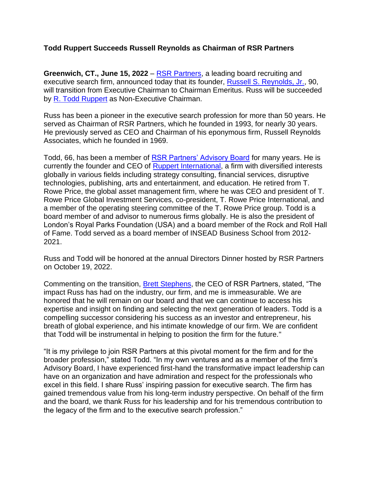## **Todd Ruppert Succeeds Russell Reynolds as Chairman of RSR Partners**

**Greenwich, CT., June 15, 2022** – [RSR Partners,](https://rsrpartners.com/) a leading board recruiting and executive search firm, announced today that its founder, [Russell S. Reynolds, Jr.,](https://rsrpartners.com/consultants/team/russel-s-reynolds-jr/) 90, will transition from Executive Chairman to Chairman Emeritus. Russ will be succeeded by [R. Todd Ruppert](https://rsrpartners.com/consultants/todd-ruppert-2/) as Non-Executive Chairman.

Russ has been a pioneer in the executive search profession for more than 50 years. He served as Chairman of RSR Partners, which he founded in 1993, for nearly 30 years. He previously served as CEO and Chairman of his eponymous firm, Russell Reynolds Associates, which he founded in 1969.

Todd, 66, has been a member of [RSR Partners' Advisory Board](https://rsrpartners.com/advisory-board/) for many years. He is currently the founder and CEO of [Ruppert International,](https://www.toddruppert.com/) a firm with diversified interests globally in various fields including strategy consulting, financial services, disruptive technologies, publishing, arts and entertainment, and education. He retired from T. Rowe Price, the global asset management firm, where he was CEO and president of T. Rowe Price Global Investment Services, co-president, T. Rowe Price International, and a member of the operating steering committee of the T. Rowe Price group. Todd is a board member of and advisor to numerous firms globally. He is also the president of London's Royal Parks Foundation (USA) and a board member of the Rock and Roll Hall of Fame. Todd served as a board member of INSEAD Business School from 2012- 2021.

Russ and Todd will be honored at the annual Directors Dinner hosted by RSR Partners on October 19, 2022.

Commenting on the transition, [Brett Stephens,](https://rsrpartners.com/consultants/team/barrett-j-stephens/) the CEO of RSR Partners, stated, "The impact Russ has had on the industry, our firm, and me is immeasurable. We are honored that he will remain on our board and that we can continue to access his expertise and insight on finding and selecting the next generation of leaders. Todd is a compelling successor considering his success as an investor and entrepreneur, his breath of global experience, and his intimate knowledge of our firm. We are confident that Todd will be instrumental in helping to position the firm for the future."

"It is my privilege to join RSR Partners at this pivotal moment for the firm and for the broader profession," stated Todd. "In my own ventures and as a member of the firm's Advisory Board, I have experienced first-hand the transformative impact leadership can have on an organization and have admiration and respect for the professionals who excel in this field. I share Russ' inspiring passion for executive search. The firm has gained tremendous value from his long-term industry perspective. On behalf of the firm and the board, we thank Russ for his leadership and for his tremendous contribution to the legacy of the firm and to the executive search profession."